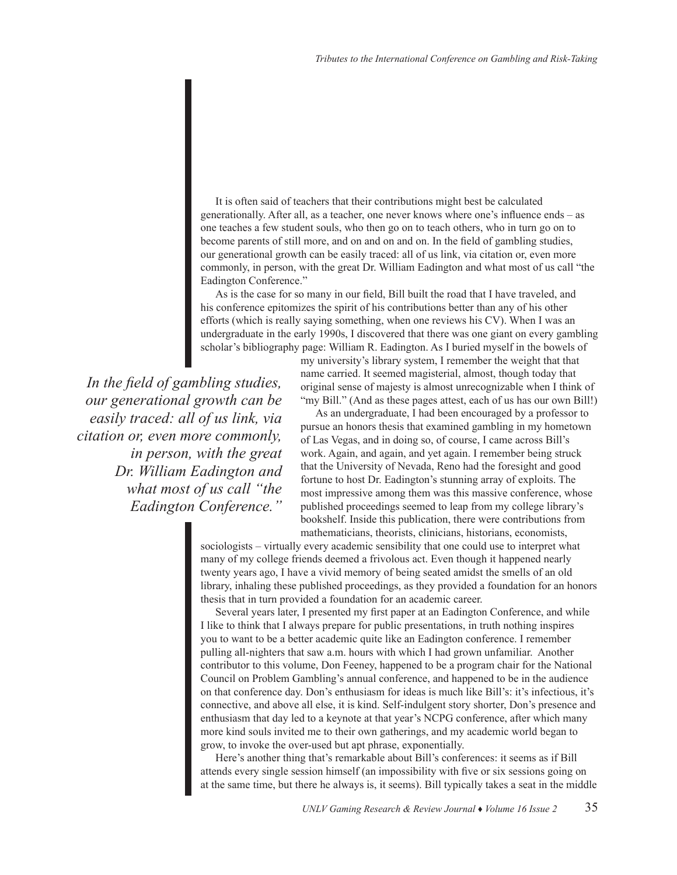It is often said of teachers that their contributions might best be calculated generationally. After all, as a teacher, one never knows where one's influence ends – as one teaches a few student souls, who then go on to teach others, who in turn go on to become parents of still more, and on and on and on. In the field of gambling studies, our generational growth can be easily traced: all of us link, via citation or, even more commonly, in person, with the great Dr. William Eadington and what most of us call "the Eadington Conference."

As is the case for so many in our field, Bill built the road that I have traveled, and his conference epitomizes the spirit of his contributions better than any of his other efforts (which is really saying something, when one reviews his CV). When I was an undergraduate in the early 1990s, I discovered that there was one giant on every gambling scholar's bibliography page: William R. Eadington. As I buried myself in the bowels of

*In the field of gambling studies, our generational growth can be easily traced: all of us link, via citation or, even more commonly, in person, with the great Dr. William Eadington and what most of us call "the Eadington Conference."* 

my university's library system, I remember the weight that that name carried. It seemed magisterial, almost, though today that original sense of majesty is almost unrecognizable when I think of "my Bill." (And as these pages attest, each of us has our own Bill!)

As an undergraduate, I had been encouraged by a professor to pursue an honors thesis that examined gambling in my hometown of Las Vegas, and in doing so, of course, I came across Bill's work. Again, and again, and yet again. I remember being struck that the University of Nevada, Reno had the foresight and good fortune to host Dr. Eadington's stunning array of exploits. The most impressive among them was this massive conference, whose published proceedings seemed to leap from my college library's bookshelf. Inside this publication, there were contributions from mathematicians, theorists, clinicians, historians, economists,

sociologists – virtually every academic sensibility that one could use to interpret what many of my college friends deemed a frivolous act. Even though it happened nearly twenty years ago, I have a vivid memory of being seated amidst the smells of an old library, inhaling these published proceedings, as they provided a foundation for an honors thesis that in turn provided a foundation for an academic career.

Several years later, I presented my first paper at an Eadington Conference, and while I like to think that I always prepare for public presentations, in truth nothing inspires you to want to be a better academic quite like an Eadington conference. I remember pulling all-nighters that saw a.m. hours with which I had grown unfamiliar. Another contributor to this volume, Don Feeney, happened to be a program chair for the National Council on Problem Gambling's annual conference, and happened to be in the audience on that conference day. Don's enthusiasm for ideas is much like Bill's: it's infectious, it's connective, and above all else, it is kind. Self-indulgent story shorter, Don's presence and enthusiasm that day led to a keynote at that year's NCPG conference, after which many more kind souls invited me to their own gatherings, and my academic world began to grow, to invoke the over-used but apt phrase, exponentially.

Here's another thing that's remarkable about Bill's conferences: it seems as if Bill attends every single session himself (an impossibility with five or six sessions going on at the same time, but there he always is, it seems). Bill typically takes a seat in the middle